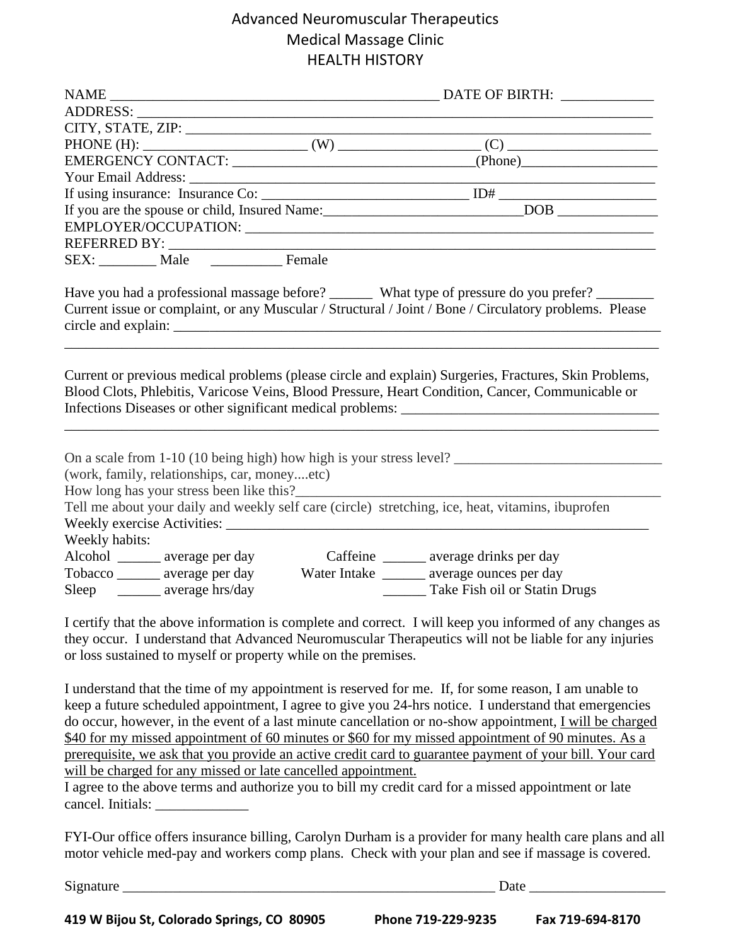# Advanced Neuromuscular Therapeutics Medical Massage Clinic HEALTH HISTORY

|                                                                                                   |  | the control of the control of the control of the control of the control of the control of                                                                                                                                                                                                                                                                                                                                                                                                                                                                                                                                                          |  |
|---------------------------------------------------------------------------------------------------|--|----------------------------------------------------------------------------------------------------------------------------------------------------------------------------------------------------------------------------------------------------------------------------------------------------------------------------------------------------------------------------------------------------------------------------------------------------------------------------------------------------------------------------------------------------------------------------------------------------------------------------------------------------|--|
|                                                                                                   |  |                                                                                                                                                                                                                                                                                                                                                                                                                                                                                                                                                                                                                                                    |  |
|                                                                                                   |  |                                                                                                                                                                                                                                                                                                                                                                                                                                                                                                                                                                                                                                                    |  |
|                                                                                                   |  |                                                                                                                                                                                                                                                                                                                                                                                                                                                                                                                                                                                                                                                    |  |
|                                                                                                   |  |                                                                                                                                                                                                                                                                                                                                                                                                                                                                                                                                                                                                                                                    |  |
|                                                                                                   |  |                                                                                                                                                                                                                                                                                                                                                                                                                                                                                                                                                                                                                                                    |  |
|                                                                                                   |  |                                                                                                                                                                                                                                                                                                                                                                                                                                                                                                                                                                                                                                                    |  |
|                                                                                                   |  |                                                                                                                                                                                                                                                                                                                                                                                                                                                                                                                                                                                                                                                    |  |
|                                                                                                   |  |                                                                                                                                                                                                                                                                                                                                                                                                                                                                                                                                                                                                                                                    |  |
|                                                                                                   |  | Have you had a professional massage before? _________ What type of pressure do you prefer? ________                                                                                                                                                                                                                                                                                                                                                                                                                                                                                                                                                |  |
|                                                                                                   |  | Current issue or complaint, or any Muscular / Structural / Joint / Bone / Circulatory problems. Please                                                                                                                                                                                                                                                                                                                                                                                                                                                                                                                                             |  |
|                                                                                                   |  |                                                                                                                                                                                                                                                                                                                                                                                                                                                                                                                                                                                                                                                    |  |
|                                                                                                   |  | Current or previous medical problems (please circle and explain) Surgeries, Fractures, Skin Problems,<br>Blood Clots, Phlebitis, Varicose Veins, Blood Pressure, Heart Condition, Cancer, Communicable or                                                                                                                                                                                                                                                                                                                                                                                                                                          |  |
| (work, family, relationships, car, moneyetc)                                                      |  |                                                                                                                                                                                                                                                                                                                                                                                                                                                                                                                                                                                                                                                    |  |
|                                                                                                   |  |                                                                                                                                                                                                                                                                                                                                                                                                                                                                                                                                                                                                                                                    |  |
|                                                                                                   |  | Tell me about your daily and weekly self care (circle) stretching, ice, heat, vitamins, ibuprofen                                                                                                                                                                                                                                                                                                                                                                                                                                                                                                                                                  |  |
|                                                                                                   |  |                                                                                                                                                                                                                                                                                                                                                                                                                                                                                                                                                                                                                                                    |  |
| Weekly habits:                                                                                    |  |                                                                                                                                                                                                                                                                                                                                                                                                                                                                                                                                                                                                                                                    |  |
| Alcohol ________ average per day                                                                  |  | Caffeine ________ average drinks per day                                                                                                                                                                                                                                                                                                                                                                                                                                                                                                                                                                                                           |  |
| Tobacco ______ average per day Water Intake ______ average ounces per day                         |  |                                                                                                                                                                                                                                                                                                                                                                                                                                                                                                                                                                                                                                                    |  |
| Sleep _______ average hrs/day                                                                     |  | Take Fish oil or Statin Drugs                                                                                                                                                                                                                                                                                                                                                                                                                                                                                                                                                                                                                      |  |
| or loss sustained to myself or property while on the premises.                                    |  | I certify that the above information is complete and correct. I will keep you informed of any changes as<br>they occur. I understand that Advanced Neuromuscular Therapeutics will not be liable for any injuries                                                                                                                                                                                                                                                                                                                                                                                                                                  |  |
| will be charged for any missed or late cancelled appointment.<br>cancel. Initials: ______________ |  | I understand that the time of my appointment is reserved for me. If, for some reason, I am unable to<br>keep a future scheduled appointment, I agree to give you 24-hrs notice. I understand that emergencies<br>do occur, however, in the event of a last minute cancellation or no-show appointment, I will be charged<br>\$40 for my missed appointment of 60 minutes or \$60 for my missed appointment of 90 minutes. As a<br>prerequisite, we ask that you provide an active credit card to guarantee payment of your bill. Your card<br>I agree to the above terms and authorize you to bill my credit card for a missed appointment or late |  |

FYI-Our office offers insurance billing, Carolyn Durham is a provider for many health care plans and all motor vehicle med-pay and workers comp plans. Check with your plan and see if massage is covered.

Signature \_\_\_\_\_\_\_\_\_\_\_\_\_\_\_\_\_\_\_\_\_\_\_\_\_\_\_\_\_\_\_\_\_\_\_\_\_\_\_\_\_\_\_\_\_\_\_\_\_\_\_\_ Date \_\_\_\_\_\_\_\_\_\_\_\_\_\_\_\_\_\_\_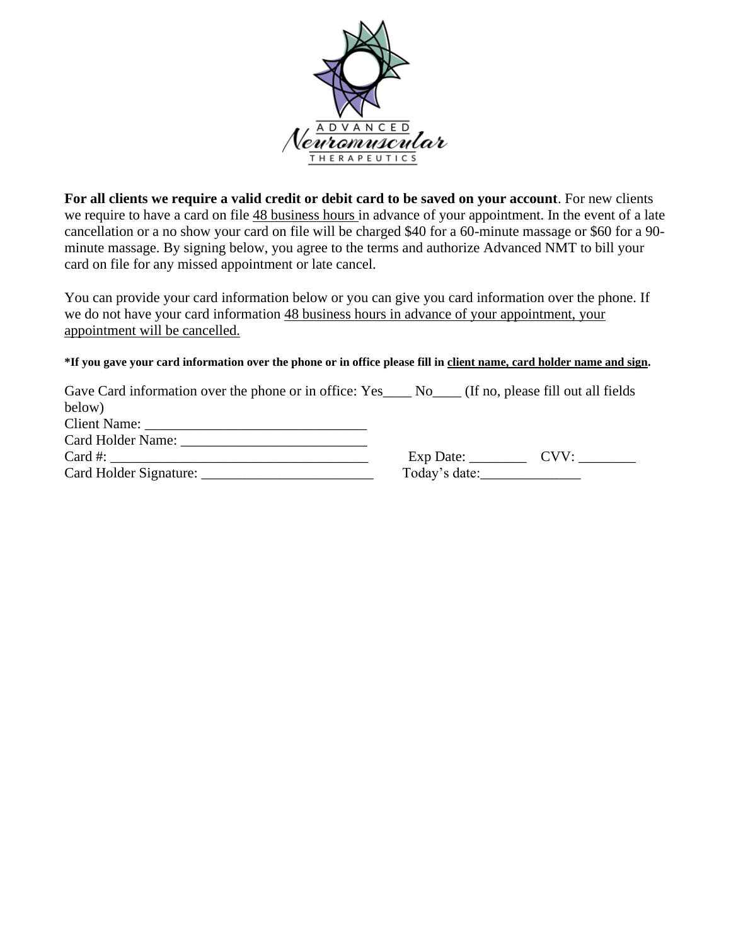

**For all clients we require a valid credit or debit card to be saved on your account**. For new clients we require to have a card on file  $\frac{48}{9}$  business hours in advance of your appointment. In the event of a late cancellation or a no show your card on file will be charged \$40 for a 60-minute massage or \$60 for a 90 minute massage. By signing below, you agree to the terms and authorize Advanced NMT to bill your card on file for any missed appointment or late cancel.

You can provide your card information below or you can give you card information over the phone. If we do not have your card information 48 business hours in advance of your appointment, your appointment will be cancelled.

#### **\*If you gave your card information over the phone or in office please fill in client name, card holder name and sign.**

| Gave Card information over the phone or in office: Yes____ No____ (If no, please fill out all fields |  |
|------------------------------------------------------------------------------------------------------|--|
| below)                                                                                               |  |
|                                                                                                      |  |
| Card Holder Name: 2008. Example 2014                                                                 |  |
|                                                                                                      |  |
|                                                                                                      |  |